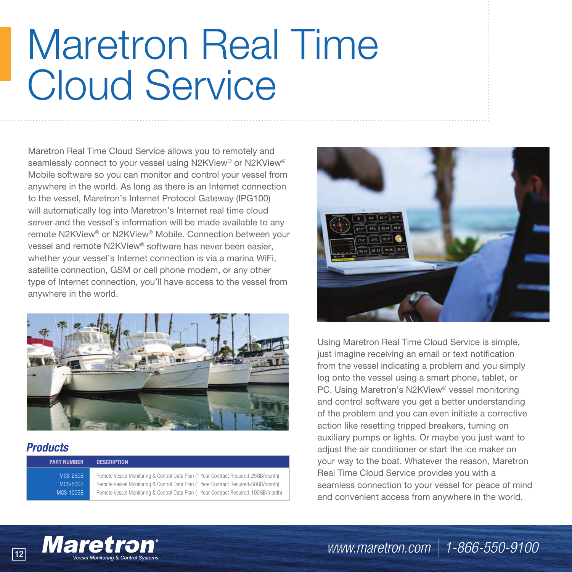## Maretron Real Time Cloud Service

Maretron Real Time Cloud Service allows you to remotely and seamlessly connect to your vessel using N2KView® or N2KView® Mobile software so you can monitor and control your vessel from anywhere in the world. As long as there is an Internet connection to the vessel, Maretron's Internet Protocol Gateway (IPG100) will automatically log into Maretron's Internet real time cloud server and the vessel's information will be made available to any remote N2KView® or N2KView® Mobile. Connection between your vessel and remote N2KView® software has never been easier, whether your vessel's Internet connection is via a marina WiFi, satellite connection, GSM or cell phone modem, or any other type of Internet connection, you'll have access to the vessel from anywhere in the world.



## *Products*

| <b>PART NUMBER</b> | <b>DESCRIPTION</b>                                                                  |
|--------------------|-------------------------------------------------------------------------------------|
| <b>MCS-25GB</b>    | Remote Vessel Monitoring & Control Data Plan (1 Year Contract Required-25GB/month)  |
| <b>MCS-50GB</b>    | Remote Vessel Monitoring & Control Data Plan (1 Year Contract Required-50GB/month)  |
| MCS-100GB          | Remote Vessel Monitoring & Control Data Plan (1 Year Contract Required-100GB/month) |



Using Maretron Real Time Cloud Service is simple, just imagine receiving an email or text notification from the vessel indicating a problem and you simply log onto the vessel using a smart phone, tablet, or PC. Using Maretron's N2KView® vessel monitoring and control software you get a better understanding of the problem and you can even initiate a corrective action like resetting tripped breakers, turning on auxiliary pumps or lights. Or maybe you just want to adjust the air conditioner or start the ice maker on your way to the boat. Whatever the reason, Maretron Real Time Cloud Service provides you with a seamless connection to your vessel for peace of mind and convenient access from anywhere in the world.